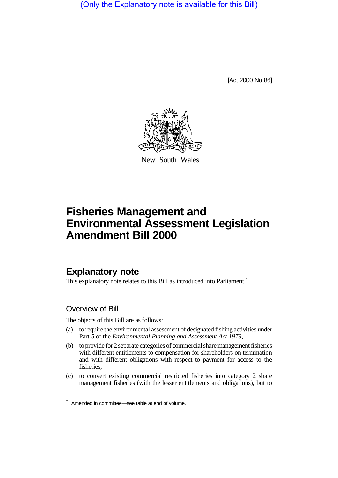(Only the Explanatory note is available for this Bill)

[Act 2000 No 86]



New South Wales

# **Fisheries Management and Environmental Assessment Legislation Amendment Bill 2000**

# **Explanatory note**

This explanatory note relates to this Bill as introduced into Parliament.<sup>\*</sup>

### Overview of Bill

The objects of this Bill are as follows:

- (a) to require the environmental assessment of designated fishing activities under Part 5 of the *Environmental Planning and Assessment Act 1979*,
- (b) to provide for 2 separate categories of commercial share management fisheries with different entitlements to compensation for shareholders on termination and with different obligations with respect to payment for access to the fisheries,
- (c) to convert existing commercial restricted fisheries into category 2 share management fisheries (with the lesser entitlements and obligations), but to

<sup>\*</sup> Amended in committee—see table at end of volume.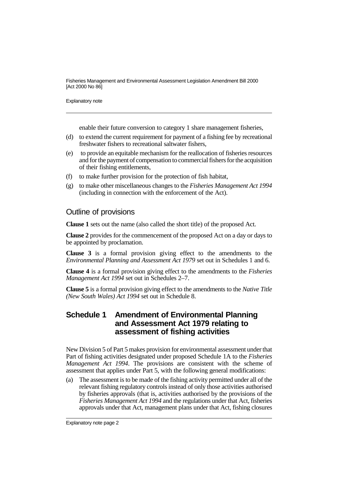Explanatory note

enable their future conversion to category 1 share management fisheries,

- (d) to extend the current requirement for payment of a fishing fee by recreational freshwater fishers to recreational saltwater fishers,
- (e) to provide an equitable mechanism for the reallocation of fisheries resources and for the payment of compensation to commercial fishers for the acquisition of their fishing entitlements,
- (f) to make further provision for the protection of fish habitat,
- (g) to make other miscellaneous changes to the *Fisheries Management Act 1994* (including in connection with the enforcement of the Act).

### Outline of provisions

**Clause 1** sets out the name (also called the short title) of the proposed Act.

**Clause 2** provides for the commencement of the proposed Act on a day or days to be appointed by proclamation.

**Clause 3** is a formal provision giving effect to the amendments to the *Environmental Planning and Assessment Act 1979* set out in Schedules 1 and 6.

**Clause 4** is a formal provision giving effect to the amendments to the *Fisheries Management Act 1994* set out in Schedules 2–7.

**Clause 5** is a formal provision giving effect to the amendments to the *Native Title (New South Wales) Act 1994* set out in Schedule 8.

### **Schedule 1 Amendment of Environmental Planning and Assessment Act 1979 relating to assessment of fishing activities**

New Division 5 of Part 5 makes provision for environmental assessment under that Part of fishing activities designated under proposed Schedule 1A to the *Fisheries Management Act 1994*. The provisions are consistent with the scheme of assessment that applies under Part 5, with the following general modifications:

(a) The assessment is to be made of the fishing activity permitted under all of the relevant fishing regulatory controls instead of only those activities authorised by fisheries approvals (that is, activities authorised by the provisions of the *Fisheries Management Act 1994* and the regulations under that Act, fisheries approvals under that Act, management plans under that Act, fishing closures

Explanatory note page 2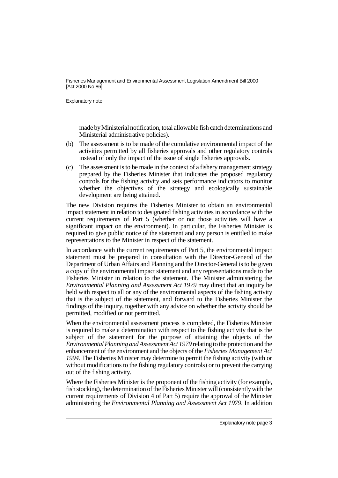Explanatory note

made by Ministerial notification, total allowable fish catch determinations and Ministerial administrative policies).

- (b) The assessment is to be made of the cumulative environmental impact of the activities permitted by all fisheries approvals and other regulatory controls instead of only the impact of the issue of single fisheries approvals.
- (c) The assessment is to be made in the context of a fishery management strategy prepared by the Fisheries Minister that indicates the proposed regulatory controls for the fishing activity and sets performance indicators to monitor whether the objectives of the strategy and ecologically sustainable development are being attained.

The new Division requires the Fisheries Minister to obtain an environmental impact statement in relation to designated fishing activities in accordance with the current requirements of Part 5 (whether or not those activities will have a significant impact on the environment). In particular, the Fisheries Minister is required to give public notice of the statement and any person is entitled to make representations to the Minister in respect of the statement.

In accordance with the current requirements of Part 5, the environmental impact statement must be prepared in consultation with the Director-General of the Department of Urban Affairs and Planning and the Director-General is to be given a copy of the environmental impact statement and any representations made to the Fisheries Minister in relation to the statement. The Minister administering the *Environmental Planning and Assessment Act 1979* may direct that an inquiry be held with respect to all or any of the environmental aspects of the fishing activity that is the subject of the statement, and forward to the Fisheries Minister the findings of the inquiry, together with any advice on whether the activity should be permitted, modified or not permitted.

When the environmental assessment process is completed, the Fisheries Minister is required to make a determination with respect to the fishing activity that is the subject of the statement for the purpose of attaining the objects of the *Environmental Planning and Assessment Act 1979* relating to the protection and the enhancement of the environment and the objects of the *Fisheries Management Act 1994*. The Fisheries Minister may determine to permit the fishing activity (with or without modifications to the fishing regulatory controls) or to prevent the carrying out of the fishing activity.

Where the Fisheries Minister is the proponent of the fishing activity (for example, fish stocking), the determination of the Fisheries Minister will (consistently with the current requirements of Division 4 of Part 5) require the approval of the Minister administering the *Environmental Planning and Assessment Act 1979*. In addition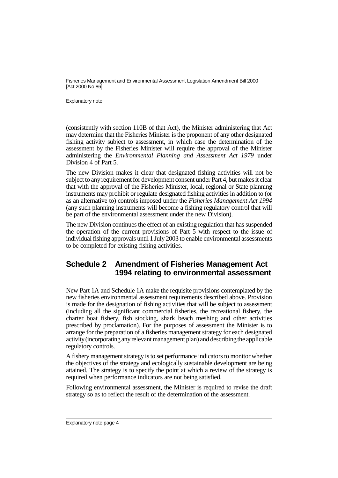Explanatory note

(consistently with section 110B of that Act), the Minister administering that Act may determine that the Fisheries Minister is the proponent of any other designated fishing activity subject to assessment, in which case the determination of the assessment by the Fisheries Minister will require the approval of the Minister administering the *Environmental Planning and Assessment Act 1979* under Division 4 of Part 5.

The new Division makes it clear that designated fishing activities will not be subject to any requirement for development consent under Part 4, but makes it clear that with the approval of the Fisheries Minister, local, regional or State planning instruments may prohibit or regulate designated fishing activities in addition to (or as an alternative to) controls imposed under the *Fisheries Management Act 1994* (any such planning instruments will become a fishing regulatory control that will be part of the environmental assessment under the new Division).

The new Division continues the effect of an existing regulation that has suspended the operation of the current provisions of Part 5 with respect to the issue of individual fishing approvals until 1 July 2003 to enable environmental assessments to be completed for existing fishing activities.

# **Schedule 2 Amendment of Fisheries Management Act 1994 relating to environmental assessment**

New Part 1A and Schedule 1A make the requisite provisions contemplated by the new fisheries environmental assessment requirements described above. Provision is made for the designation of fishing activities that will be subject to assessment (including all the significant commercial fisheries, the recreational fishery, the charter boat fishery, fish stocking, shark beach meshing and other activities prescribed by proclamation). For the purposes of assessment the Minister is to arrange for the preparation of a fisheries management strategy for each designated activity (incorporating any relevant management plan) and describing the applicable regulatory controls.

A fishery management strategy is to set performance indicators to monitor whether the objectives of the strategy and ecologically sustainable development are being attained. The strategy is to specify the point at which a review of the strategy is required when performance indicators are not being satisfied.

Following environmental assessment, the Minister is required to revise the draft strategy so as to reflect the result of the determination of the assessment.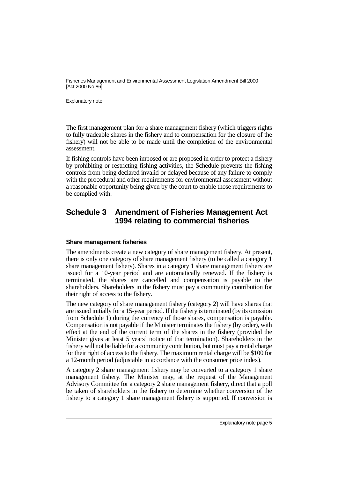Explanatory note

The first management plan for a share management fishery (which triggers rights to fully tradeable shares in the fishery and to compensation for the closure of the fishery) will not be able to be made until the completion of the environmental assessment.

If fishing controls have been imposed or are proposed in order to protect a fishery by prohibiting or restricting fishing activities, the Schedule prevents the fishing controls from being declared invalid or delayed because of any failure to comply with the procedural and other requirements for environmental assessment without a reasonable opportunity being given by the court to enable those requirements to be complied with.

# **Schedule 3 Amendment of Fisheries Management Act 1994 relating to commercial fisheries**

#### **Share management fisheries**

The amendments create a new category of share management fishery. At present, there is only one category of share management fishery (to be called a category 1 share management fishery). Shares in a category 1 share management fishery are issued for a 10-year period and are automatically renewed. If the fishery is terminated, the shares are cancelled and compensation is payable to the shareholders. Shareholders in the fishery must pay a community contribution for their right of access to the fishery.

The new category of share management fishery (category 2) will have shares that are issued initially for a 15-year period. If the fishery is terminated (by its omission from Schedule 1) during the currency of those shares, compensation is payable. Compensation is not payable if the Minister terminates the fishery (by order), with effect at the end of the current term of the shares in the fishery (provided the Minister gives at least 5 years' notice of that termination). Shareholders in the fishery will not be liable for a community contribution, but must pay a rental charge for their right of access to the fishery. The maximum rental charge will be \$100 for a 12-month period (adjustable in accordance with the consumer price index).

A category 2 share management fishery may be converted to a category 1 share management fishery. The Minister may, at the request of the Management Advisory Committee for a category 2 share management fishery, direct that a poll be taken of shareholders in the fishery to determine whether conversion of the fishery to a category 1 share management fishery is supported. If conversion is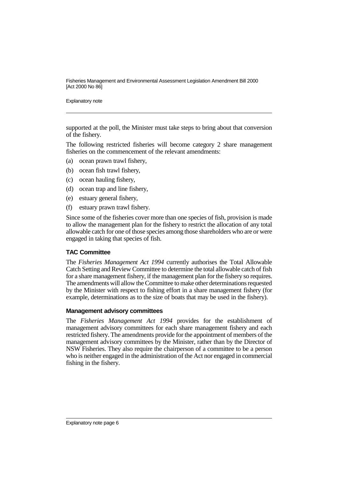Explanatory note

supported at the poll, the Minister must take steps to bring about that conversion of the fishery.

The following restricted fisheries will become category 2 share management fisheries on the commencement of the relevant amendments:

- (a) ocean prawn trawl fishery,
- (b) ocean fish trawl fishery,
- (c) ocean hauling fishery,
- (d) ocean trap and line fishery,
- (e) estuary general fishery,
- (f) estuary prawn trawl fishery.

Since some of the fisheries cover more than one species of fish, provision is made to allow the management plan for the fishery to restrict the allocation of any total allowable catch for one of those species among those shareholders who are or were engaged in taking that species of fish.

#### **TAC Committee**

The *Fisheries Management Act 1994* currently authorises the Total Allowable Catch Setting and Review Committee to determine the total allowable catch of fish for a share management fishery, if the management plan for the fishery so requires. The amendments will allow the Committee to make other determinations requested by the Minister with respect to fishing effort in a share management fishery (for example, determinations as to the size of boats that may be used in the fishery).

#### **Management advisory committees**

The *Fisheries Management Act 1994* provides for the establishment of management advisory committees for each share management fishery and each restricted fishery. The amendments provide for the appointment of members of the management advisory committees by the Minister, rather than by the Director of NSW Fisheries. They also require the chairperson of a committee to be a person who is neither engaged in the administration of the Act nor engaged in commercial fishing in the fishery.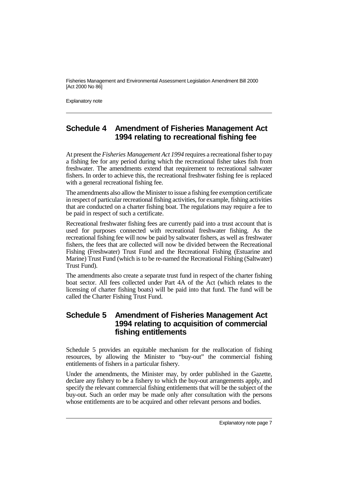Explanatory note

# **Schedule 4 Amendment of Fisheries Management Act 1994 relating to recreational fishing fee**

At present the *Fisheries Management Act 1994* requires a recreational fisher to pay a fishing fee for any period during which the recreational fisher takes fish from freshwater. The amendments extend that requirement to recreational saltwater fishers. In order to achieve this, the recreational freshwater fishing fee is replaced with a general recreational fishing fee.

The amendments also allow the Minister to issue a fishing fee exemption certificate in respect of particular recreational fishing activities, for example, fishing activities that are conducted on a charter fishing boat. The regulations may require a fee to be paid in respect of such a certificate.

Recreational freshwater fishing fees are currently paid into a trust account that is used for purposes connected with recreational freshwater fishing. As the recreational fishing fee will now be paid by saltwater fishers, as well as freshwater fishers, the fees that are collected will now be divided between the Recreational Fishing (Freshwater) Trust Fund and the Recreational Fishing (Estuarine and Marine) Trust Fund (which is to be re-named the Recreational Fishing (Saltwater) Trust Fund).

The amendments also create a separate trust fund in respect of the charter fishing boat sector. All fees collected under Part 4A of the Act (which relates to the licensing of charter fishing boats) will be paid into that fund. The fund will be called the Charter Fishing Trust Fund.

## **Schedule 5 Amendment of Fisheries Management Act 1994 relating to acquisition of commercial fishing entitlements**

Schedule 5 provides an equitable mechanism for the reallocation of fishing resources, by allowing the Minister to "buy-out" the commercial fishing entitlements of fishers in a particular fishery.

Under the amendments, the Minister may, by order published in the Gazette, declare any fishery to be a fishery to which the buy-out arrangements apply, and specify the relevant commercial fishing entitlements that will be the subject of the buy-out. Such an order may be made only after consultation with the persons whose entitlements are to be acquired and other relevant persons and bodies.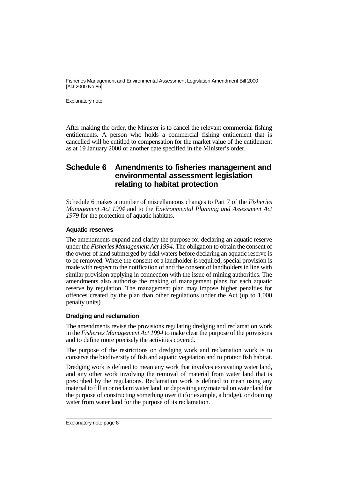Explanatory note

After making the order, the Minister is to cancel the relevant commercial fishing entitlements. A person who holds a commercial fishing entitlement that is cancelled will be entitled to compensation for the market value of the entitlement as at 19 January 2000 or another date specified in the Minister's order.

## **Schedule 6 Amendments to fisheries management and environmental assessment legislation relating to habitat protection**

Schedule 6 makes a number of miscellaneous changes to Part 7 of the *Fisheries Management Act 1994* and to the *Environmental Planning and Assessment Act 1979* for the protection of aquatic habitats.

#### **Aquatic reserves**

The amendments expand and clarify the purpose for declaring an aquatic reserve under the *Fisheries Management Act 1994*. The obligation to obtain the consent of the owner of land submerged by tidal waters before declaring an aquatic reserve is to be removed. Where the consent of a landholder is required, special provision is made with respect to the notification of and the consent of landholders in line with similar provision applying in connection with the issue of mining authorities. The amendments also authorise the making of management plans for each aquatic reserve by regulation. The management plan may impose higher penalties for offences created by the plan than other regulations under the Act (up to 1,000 penalty units).

#### **Dredging and reclamation**

The amendments revise the provisions regulating dredging and reclamation work in the *Fisheries Management Act 1994* to make clear the purpose of the provisions and to define more precisely the activities covered.

The purpose of the restrictions on dredging work and reclamation work is to conserve the biodiversity of fish and aquatic vegetation and to protect fish habitat.

Dredging work is defined to mean any work that involves excavating water land, and any other work involving the removal of material from water land that is prescribed by the regulations. Reclamation work is defined to mean using any material to fill in or reclaim water land, or depositing any material on water land for the purpose of constructing something over it (for example, a bridge), or draining water from water land for the purpose of its reclamation.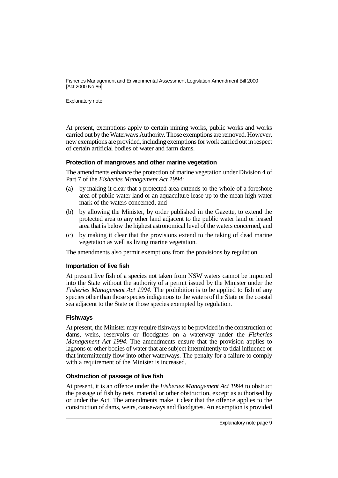Explanatory note

At present, exemptions apply to certain mining works, public works and works carried out by the Waterways Authority. Those exemptions are removed. However, new exemptions are provided, including exemptions for work carried out in respect of certain artificial bodies of water and farm dams.

#### **Protection of mangroves and other marine vegetation**

The amendments enhance the protection of marine vegetation under Division 4 of Part 7 of the *Fisheries Management Act 1994*:

- (a) by making it clear that a protected area extends to the whole of a foreshore area of public water land or an aquaculture lease up to the mean high water mark of the waters concerned, and
- (b) by allowing the Minister, by order published in the Gazette, to extend the protected area to any other land adjacent to the public water land or leased area that is below the highest astronomical level of the waters concerned, and
- (c) by making it clear that the provisions extend to the taking of dead marine vegetation as well as living marine vegetation.

The amendments also permit exemptions from the provisions by regulation.

#### **Importation of live fish**

At present live fish of a species not taken from NSW waters cannot be imported into the State without the authority of a permit issued by the Minister under the *Fisheries Management Act 1994*. The prohibition is to be applied to fish of any species other than those species indigenous to the waters of the State or the coastal sea adjacent to the State or those species exempted by regulation.

#### **Fishways**

At present, the Minister may require fishways to be provided in the construction of dams, weirs, reservoirs or floodgates on a waterway under the *Fisheries Management Act 1994*. The amendments ensure that the provision applies to lagoons or other bodies of water that are subject intermittently to tidal influence or that intermittently flow into other waterways. The penalty for a failure to comply with a requirement of the Minister is increased.

#### **Obstruction of passage of live fish**

At present, it is an offence under the *Fisheries Management Act 1994* to obstruct the passage of fish by nets, material or other obstruction, except as authorised by or under the Act. The amendments make it clear that the offence applies to the construction of dams, weirs, causeways and floodgates. An exemption is provided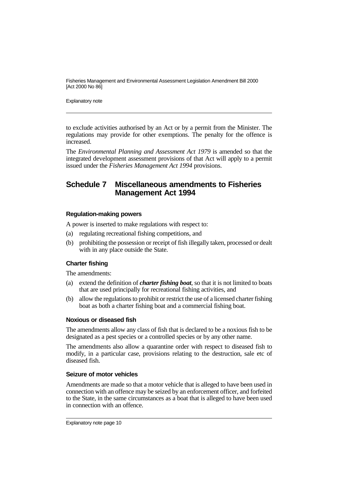Explanatory note

to exclude activities authorised by an Act or by a permit from the Minister. The regulations may provide for other exemptions. The penalty for the offence is increased.

The *Environmental Planning and Assessment Act 1979* is amended so that the integrated development assessment provisions of that Act will apply to a permit issued under the *Fisheries Management Act 1994* provisions.

### **Schedule 7 Miscellaneous amendments to Fisheries Management Act 1994**

#### **Regulation-making powers**

A power is inserted to make regulations with respect to:

- (a) regulating recreational fishing competitions, and
- (b) prohibiting the possession or receipt of fish illegally taken, processed or dealt with in any place outside the State.

#### **Charter fishing**

The amendments:

- (a) extend the definition of *charter fishing boat*, so that it is not limited to boats that are used principally for recreational fishing activities, and
- (b) allow the regulations to prohibit or restrict the use of a licensed charter fishing boat as both a charter fishing boat and a commercial fishing boat.

#### **Noxious or diseased fish**

The amendments allow any class of fish that is declared to be a noxious fish to be designated as a pest species or a controlled species or by any other name.

The amendments also allow a quarantine order with respect to diseased fish to modify, in a particular case, provisions relating to the destruction, sale etc of diseased fish.

#### **Seizure of motor vehicles**

Amendments are made so that a motor vehicle that is alleged to have been used in connection with an offence may be seized by an enforcement officer, and forfeited to the State, in the same circumstances as a boat that is alleged to have been used in connection with an offence.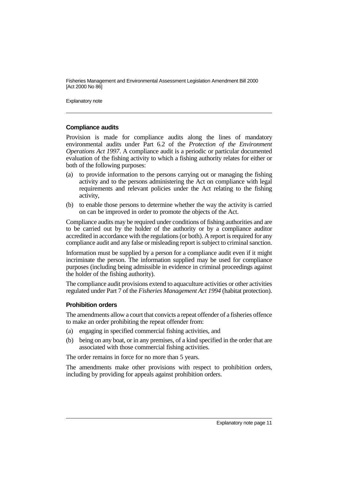Explanatory note

#### **Compliance audits**

Provision is made for compliance audits along the lines of mandatory environmental audits under Part 6.2 of the *Protection of the Environment Operations Act 1997*. A compliance audit is a periodic or particular documented evaluation of the fishing activity to which a fishing authority relates for either or both of the following purposes:

- (a) to provide information to the persons carrying out or managing the fishing activity and to the persons administering the Act on compliance with legal requirements and relevant policies under the Act relating to the fishing activity,
- (b) to enable those persons to determine whether the way the activity is carried on can be improved in order to promote the objects of the Act.

Compliance audits may be required under conditions of fishing authorities and are to be carried out by the holder of the authority or by a compliance auditor accredited in accordance with the regulations (or both). A report is required for any compliance audit and any false or misleading report is subject to criminal sanction.

Information must be supplied by a person for a compliance audit even if it might incriminate the person. The information supplied may be used for compliance purposes (including being admissible in evidence in criminal proceedings against the holder of the fishing authority).

The compliance audit provisions extend to aquaculture activities or other activities regulated under Part 7 of the *Fisheries Management Act 1994* (habitat protection).

#### **Prohibition orders**

The amendments allow a court that convicts a repeat offender of a fisheries offence to make an order prohibiting the repeat offender from:

- (a) engaging in specified commercial fishing activities, and
- (b) being on any boat, or in any premises, of a kind specified in the order that are associated with those commercial fishing activities.

The order remains in force for no more than 5 years.

The amendments make other provisions with respect to prohibition orders, including by providing for appeals against prohibition orders.